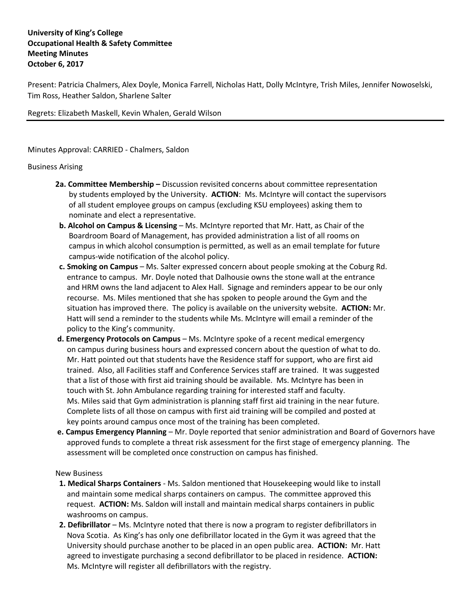## **University of King's College Occupational Health & Safety Committee Meeting Minutes October 6, 2017**

Present: Patricia Chalmers, Alex Doyle, Monica Farrell, Nicholas Hatt, Dolly McIntyre, Trish Miles, Jennifer Nowoselski, Tim Ross, Heather Saldon, Sharlene Salter

Regrets: Elizabeth Maskell, Kevin Whalen, Gerald Wilson

Minutes Approval: CARRIED - Chalmers, Saldon

## Business Arising

- **2a. Committee Membership –** Discussion revisited concerns about committee representation by students employed by the University. **ACTION**: Ms. McIntyre will contact the supervisors of all student employee groups on campus (excluding KSU employees) asking them to nominate and elect a representative.
- **b. Alcohol on Campus & Licensing** Ms. McIntyre reported that Mr. Hatt, as Chair of the Boardroom Board of Management, has provided administration a list of all rooms on campus in which alcohol consumption is permitted, as well as an email template for future campus-wide notification of the alcohol policy.
- **c. Smoking on Campus** Ms. Salter expressed concern about people smoking at the Coburg Rd. entrance to campus. Mr. Doyle noted that Dalhousie owns the stone wall at the entrance and HRM owns the land adjacent to Alex Hall. Signage and reminders appear to be our only recourse. Ms. Miles mentioned that she has spoken to people around the Gym and the situation has improved there. The policy is available on the university website. **ACTION:** Mr. Hatt will send a reminder to the students while Ms. McIntyre will email a reminder of the policy to the King's community.
- **d. Emergency Protocols on Campus** Ms. McIntyre spoke of a recent medical emergency on campus during business hours and expressed concern about the question of what to do. Mr. Hatt pointed out that students have the Residence staff for support, who are first aid trained. Also, all Facilities staff and Conference Services staff are trained. It was suggested that a list of those with first aid training should be available. Ms. McIntyre has been in touch with St. John Ambulance regarding training for interested staff and faculty. Ms. Miles said that Gym administration is planning staff first aid training in the near future. Complete lists of all those on campus with first aid training will be compiled and posted at key points around campus once most of the training has been completed.
- **e. Campus Emergency Planning** Mr. Doyle reported that senior administration and Board of Governors have approved funds to complete a threat risk assessment for the first stage of emergency planning. The assessment will be completed once construction on campus has finished.

## New Business

- **1. Medical Sharps Containers**  Ms. Saldon mentioned that Housekeeping would like to install and maintain some medical sharps containers on campus. The committee approved this request. **ACTION:** Ms. Saldon will install and maintain medical sharps containers in public washrooms on campus.
- **2. Defibrillator**  Ms. McIntyre noted that there is now a program to register defibrillators in Nova Scotia. As King's has only one defibrillator located in the Gym it was agreed that the University should purchase another to be placed in an open public area. **ACTION:** Mr. Hatt agreed to investigate purchasing a second defibrillator to be placed in residence. **ACTION:** Ms. McIntyre will register all defibrillators with the registry.